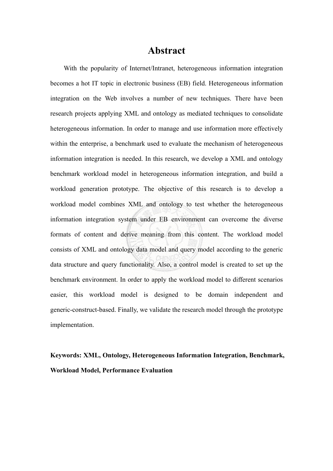## **Abstract**

With the popularity of Internet/Intranet, heterogeneous information integration becomes a hot IT topic in electronic business (EB) field. Heterogeneous information integration on the Web involves a number of new techniques. There have been research projects applying XML and ontology as mediated techniques to consolidate heterogeneous information. In order to manage and use information more effectively within the enterprise, a benchmark used to evaluate the mechanism of heterogeneous information integration is needed. In this research, we develop a XML and ontology benchmark workload model in heterogeneous information integration, and build a workload generation prototype. The objective of this research is to develop a workload model combines XML and ontology to test whether the heterogeneous information integration system under EB environment can overcome the diverse formats of content and derive meaning from this content. The workload model consists of XML and ontology data model and query model according to the generic data structure and query functionality. Also, a control model is created to set up the benchmark environment. In order to apply the workload model to different scenarios easier, this workload model is designed to be domain independent and generic-construct-based. Finally, we validate the research model through the prototype implementation.

**Keywords: XML, Ontology, Heterogeneous Information Integration, Benchmark, Workload Model, Performance Evaluation**